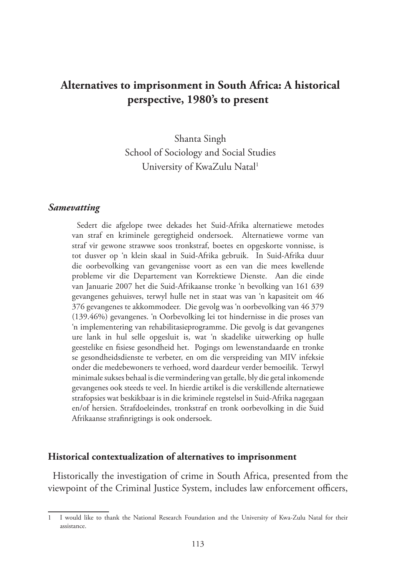# **Alternatives to imprisonment in South Africa: A historical perspective, 1980's to present**

Shanta Singh School of Sociology and Social Studies University of KwaZulu Natal<sup>1</sup>

#### *Samevatting*

Sedert die afgelope twee dekades het Suid-Afrika alternatiewe metodes van straf en kriminele geregtigheid ondersoek. Alternatiewe vorme van straf vir gewone strawwe soos tronkstraf, boetes en opgeskorte vonnisse, is tot dusver op 'n klein skaal in Suid-Afrika gebruik. In Suid-Afrika duur die oorbevolking van gevangenisse voort as een van die mees kwellende probleme vir die Departement van Korrektiewe Dienste. Aan die einde van Januarie 2007 het die Suid-Afrikaanse tronke 'n bevolking van 161 639 gevangenes gehuisves, terwyl hulle net in staat was van 'n kapasiteit om 46 376 gevangenes te akkommodeer. Die gevolg was 'n oorbevolking van 46 379 (139.46%) gevangenes. 'n Oorbevolking lei tot hindernisse in die proses van 'n implementering van rehabilitasieprogramme. Die gevolg is dat gevangenes ure lank in hul selle opgesluit is, wat 'n skadelike uitwerking op hulle geestelike en fisiese gesondheid het. Pogings om lewenstandaarde en tronke se gesondheidsdienste te verbeter, en om die verspreiding van MIV infeksie onder die medebewoners te verhoed, word daardeur verder bemoeilik. Terwyl minimale sukses behaal is die vermindering van getalle, bly die getal inkomende gevangenes ook steeds te veel. In hierdie artikel is die verskillende alternatiewe strafopsies wat beskikbaar is in die kriminele regstelsel in Suid-Afrika nagegaan en/of hersien. Strafdoeleindes, tronkstraf en tronk oorbevolking in die Suid Afrikaanse strafinrigtings is ook ondersoek.

#### **Historical contextualization of alternatives to imprisonment**

Historically the investigation of crime in South Africa, presented from the viewpoint of the Criminal Justice System, includes law enforcement officers,

<sup>1</sup> I would like to thank the National Research Foundation and the University of Kwa-Zulu Natal for their assistance.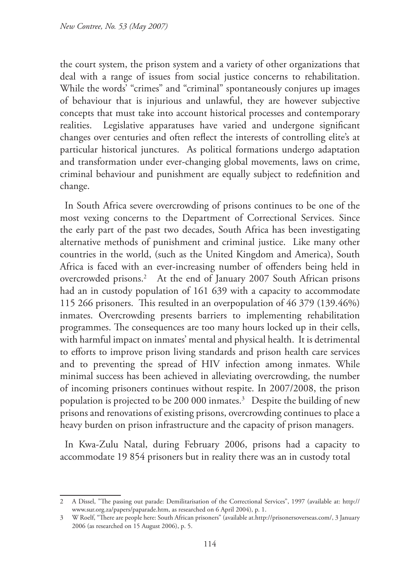the court system, the prison system and a variety of other organizations that deal with a range of issues from social justice concerns to rehabilitation. While the words' "crimes" and "criminal" spontaneously conjures up images of behaviour that is injurious and unlawful, they are however subjective concepts that must take into account historical processes and contemporary realities. Legislative apparatuses have varied and undergone significant changes over centuries and often reflect the interests of controlling elite's at particular historical junctures. As political formations undergo adaptation and transformation under ever-changing global movements, laws on crime, criminal behaviour and punishment are equally subject to redefinition and change.

In South Africa severe overcrowding of prisons continues to be one of the most vexing concerns to the Department of Correctional Services. Since the early part of the past two decades, South Africa has been investigating alternative methods of punishment and criminal justice. Like many other countries in the world, (such as the United Kingdom and America), South Africa is faced with an ever-increasing number of offenders being held in overcrowded prisons.<sup>2</sup> At the end of January 2007 South African prisons had an in custody population of 161 639 with a capacity to accommodate 115 266 prisoners. This resulted in an overpopulation of 46 379 (139.46%) inmates. Overcrowding presents barriers to implementing rehabilitation programmes. The consequences are too many hours locked up in their cells, with harmful impact on inmates' mental and physical health. It is detrimental to efforts to improve prison living standards and prison health care services and to preventing the spread of HIV infection among inmates. While minimal success has been achieved in alleviating overcrowding, the number of incoming prisoners continues without respite. In 2007/2008, the prison population is projected to be 200 000 inmates.3 Despite the building of new prisons and renovations of existing prisons, overcrowding continues to place a heavy burden on prison infrastructure and the capacity of prison managers.

In Kwa-Zulu Natal, during February 2006, prisons had a capacity to accommodate 19 854 prisoners but in reality there was an in custody total

<sup>2</sup> A Dissel, "The passing out parade: Demilitarisation of the Correctional Services", 1997 (available at: http:// www.sur.org.za/papers/paparade.htm, as researched on 6 April 2004), p. 1.

<sup>3</sup> W Roelf, "There are people here: South African prisoners" (available at.http://prisonersoverseas.com/, 3 January 2006 (as researched on 15 August 2006), p. 5.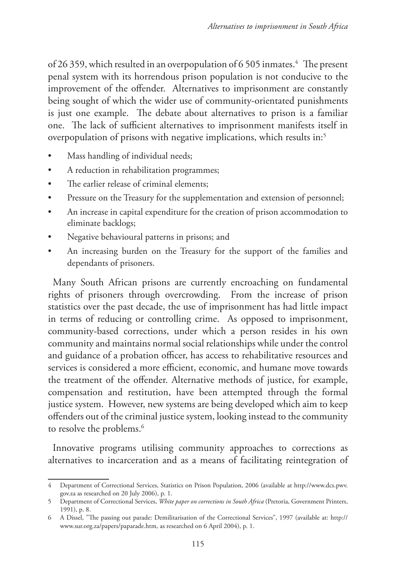of 26 359, which resulted in an overpopulation of 6 505 inmates.<sup>4</sup> The present penal system with its horrendous prison population is not conducive to the improvement of the offender. Alternatives to imprisonment are constantly being sought of which the wider use of community-orientated punishments is just one example. The debate about alternatives to prison is a familiar one. The lack of sufficient alternatives to imprisonment manifests itself in overpopulation of prisons with negative implications, which results in:5

- Mass handling of individual needs;
- A reduction in rehabilitation programmes;
- The earlier release of criminal elements:
- Pressure on the Treasury for the supplementation and extension of personnel;
- An increase in capital expenditure for the creation of prison accommodation to eliminate backlogs;
- Negative behavioural patterns in prisons; and
- An increasing burden on the Treasury for the support of the families and dependants of prisoners.

Many South African prisons are currently encroaching on fundamental rights of prisoners through overcrowding. From the increase of prison statistics over the past decade, the use of imprisonment has had little impact in terms of reducing or controlling crime. As opposed to imprisonment, community-based corrections, under which a person resides in his own community and maintains normal social relationships while under the control and guidance of a probation officer, has access to rehabilitative resources and services is considered a more efficient, economic, and humane move towards the treatment of the offender. Alternative methods of justice, for example, compensation and restitution, have been attempted through the formal justice system. However, new systems are being developed which aim to keep offenders out of the criminal justice system, looking instead to the community to resolve the problems.<sup>6</sup>

Innovative programs utilising community approaches to corrections as alternatives to incarceration and as a means of facilitating reintegration of

<sup>4</sup> Department of Correctional Services, Statistics on Prison Population, 2006 (available at http://www.dcs.pwv. gov.za as researched on 20 July 2006), p. 1.

<sup>5</sup> Department of Correctional Services, *White paper on corrections in South Africa* (Pretoria, Government Printers, 1991), p. 8.

<sup>6</sup> A Dissel, "The passing out parade: Demilitarisation of the Correctional Services", 1997 (available at: http:// www.sur.org.za/papers/paparade.htm, as researched on 6 April 2004), p. 1.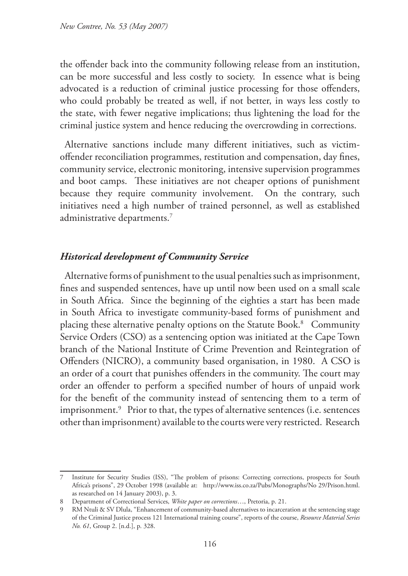the offender back into the community following release from an institution, can be more successful and less costly to society. In essence what is being advocated is a reduction of criminal justice processing for those offenders, who could probably be treated as well, if not better, in ways less costly to the state, with fewer negative implications; thus lightening the load for the criminal justice system and hence reducing the overcrowding in corrections.

Alternative sanctions include many different initiatives, such as victimoffender reconciliation programmes, restitution and compensation, day fines, community service, electronic monitoring, intensive supervision programmes and boot camps. These initiatives are not cheaper options of punishment because they require community involvement. On the contrary, such initiatives need a high number of trained personnel, as well as established administrative departments. $^7$ 

### *Historical development of Community Service*

Alternative forms of punishment to the usual penalties such as imprisonment, fines and suspended sentences, have up until now been used on a small scale in South Africa. Since the beginning of the eighties a start has been made in South Africa to investigate community-based forms of punishment and placing these alternative penalty options on the Statute Book.8 Community Service Orders (CSO) as a sentencing option was initiated at the Cape Town branch of the National Institute of Crime Prevention and Reintegration of Offenders (NICRO), a community based organisation, in 1980. A CSO is an order of a court that punishes offenders in the community. The court may order an offender to perform a specified number of hours of unpaid work for the benefit of the community instead of sentencing them to a term of imprisonment.9 Prior to that, the types of alternative sentences (i.e. sentences other than imprisonment) available to the courts were very restricted. Research

<sup>7</sup> Institute for Security Studies (ISS), "The problem of prisons: Correcting corrections, prospects for South Africa's prisons", 29 October 1998 (available at: http://www.iss.co.za/Pubs/Monographs/No 29/Prison.html. as researched on 14 January 2003), p. 3.

<sup>8</sup> Department of Correctional Services, *White paper on corrections*…, Pretoria, p. 21.

<sup>9</sup> RM Ntuli & SV Dlula, "Enhancement of community-based alternatives to incarceration at the sentencing stage of the Criminal Justice process 121 International training course", reports of the course, *Resource Material Series No. 61*, Group 2. [n.d.], p. 328.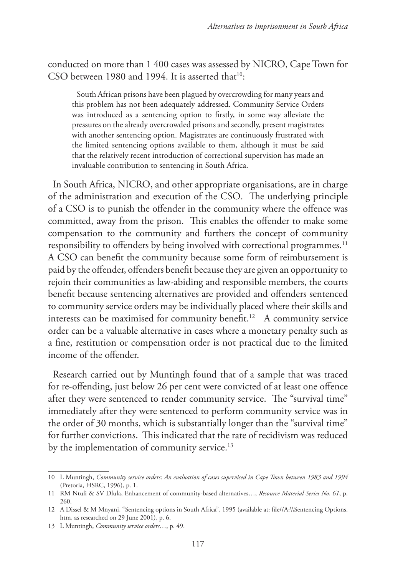conducted on more than 1 400 cases was assessed by NICRO, Cape Town for CSO between 1980 and 1994. It is asserted that $10$ :

South African prisons have been plagued by overcrowding for many years and this problem has not been adequately addressed. Community Service Orders was introduced as a sentencing option to firstly, in some way alleviate the pressures on the already overcrowded prisons and secondly, present magistrates with another sentencing option. Magistrates are continuously frustrated with the limited sentencing options available to them, although it must be said that the relatively recent introduction of correctional supervision has made an invaluable contribution to sentencing in South Africa.

In South Africa, NICRO, and other appropriate organisations, are in charge of the administration and execution of the CSO. The underlying principle of a CSO is to punish the offender in the community where the offence was committed, away from the prison. This enables the offender to make some compensation to the community and furthers the concept of community responsibility to offenders by being involved with correctional programmes.<sup>11</sup> A CSO can benefit the community because some form of reimbursement is paid by the offender, offenders benefit because they are given an opportunity to rejoin their communities as law-abiding and responsible members, the courts benefit because sentencing alternatives are provided and offenders sentenced to community service orders may be individually placed where their skills and interests can be maximised for community benefit.<sup>12</sup> A community service order can be a valuable alternative in cases where a monetary penalty such as a fine, restitution or compensation order is not practical due to the limited income of the offender.

Research carried out by Muntingh found that of a sample that was traced for re-offending, just below 26 per cent were convicted of at least one offence after they were sentenced to render community service. The "survival time" immediately after they were sentenced to perform community service was in the order of 30 months, which is substantially longer than the "survival time" for further convictions. This indicated that the rate of recidivism was reduced by the implementation of community service.<sup>13</sup>

<sup>10</sup> L Muntingh, *Community service orders*: *An evaluation of cases supervised in Cape Town between 1983 and 1994*  (Pretoria, HSRC, 1996), p. 1.

<sup>11</sup> RM Ntuli & SV Dlula, Enhancement of community-based alternatives…, *Resource Material Series No. 61*, p. 260.

<sup>12</sup> A Dissel & M Mnyani, "Sentencing options in South Africa", 1995 (available at: file//A:\\Sentencing Options. htm, as researched on 29 June 2001), p. 6.

<sup>13</sup> L Muntingh, *Community service orders*…, p. 49.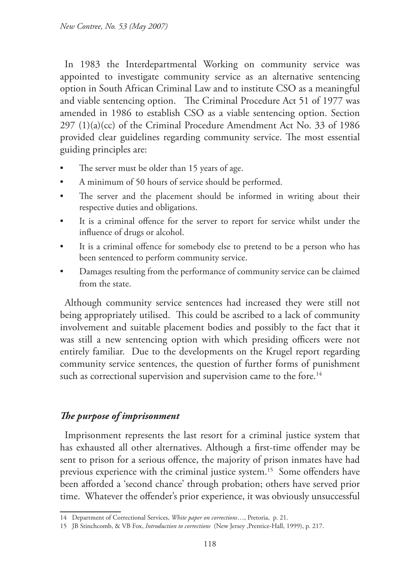In 1983 the Interdepartmental Working on community service was appointed to investigate community service as an alternative sentencing option in South African Criminal Law and to institute CSO as a meaningful and viable sentencing option. The Criminal Procedure Act 51 of 1977 was amended in 1986 to establish CSO as a viable sentencing option. Section  $297 (1)(a)(cc)$  of the Criminal Procedure Amendment Act No. 33 of 1986 provided clear guidelines regarding community service. The most essential guiding principles are:

- The server must be older than 15 years of age.
- A minimum of 50 hours of service should be performed.
- The server and the placement should be informed in writing about their respective duties and obligations.
- It is a criminal offence for the server to report for service whilst under the influence of drugs or alcohol.
- It is a criminal offence for somebody else to pretend to be a person who has been sentenced to perform community service.
- Damages resulting from the performance of community service can be claimed from the state.

Although community service sentences had increased they were still not being appropriately utilised. This could be ascribed to a lack of community involvement and suitable placement bodies and possibly to the fact that it was still a new sentencing option with which presiding officers were not entirely familiar. Due to the developments on the Krugel report regarding community service sentences, the question of further forms of punishment such as correctional supervision and supervision came to the fore.<sup>14</sup>

## *The purpose of imprisonment*

Imprisonment represents the last resort for a criminal justice system that has exhausted all other alternatives. Although a first-time offender may be sent to prison for a serious offence, the majority of prison inmates have had previous experience with the criminal justice system.<sup>15</sup> Some offenders have been afforded a 'second chance' through probation; others have served prior time. Whatever the offender's prior experience, it was obviously unsuccessful

<sup>14</sup> Department of Correctional Services, *White paper on corrections*…, Pretoria, p. 21.

<sup>15</sup> JB Stinchcomb, & VB Fox, *Introduction to corrections* (New Jersey ,Prentice-Hall, 1999), p. 217.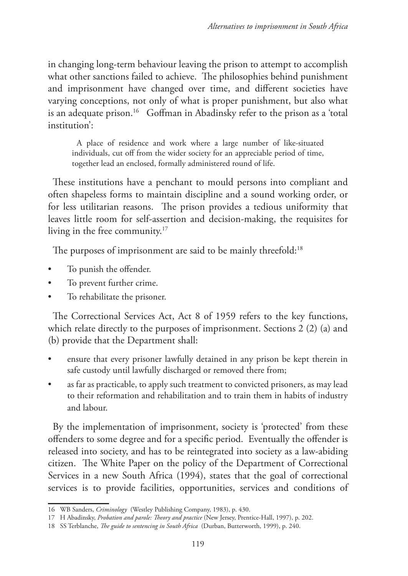in changing long-term behaviour leaving the prison to attempt to accomplish what other sanctions failed to achieve. The philosophies behind punishment and imprisonment have changed over time, and different societies have varying conceptions, not only of what is proper punishment, but also what is an adequate prison.<sup>16</sup> Goffman in Abadinsky refer to the prison as a 'total institution':

A place of residence and work where a large number of like-situated individuals, cut off from the wider society for an appreciable period of time, together lead an enclosed, formally administered round of life.

These institutions have a penchant to mould persons into compliant and often shapeless forms to maintain discipline and a sound working order, or for less utilitarian reasons. The prison provides a tedious uniformity that leaves little room for self-assertion and decision-making, the requisites for living in the free community.17

The purposes of imprisonment are said to be mainly threefold:<sup>18</sup>

- To punish the offender.
- To prevent further crime.
- To rehabilitate the prisoner.

The Correctional Services Act, Act 8 of 1959 refers to the key functions, which relate directly to the purposes of imprisonment. Sections 2 (2) (a) and (b) provide that the Department shall:

- ensure that every prisoner lawfully detained in any prison be kept therein in safe custody until lawfully discharged or removed there from;
- as far as practicable, to apply such treatment to convicted prisoners, as may lead to their reformation and rehabilitation and to train them in habits of industry and labour.

By the implementation of imprisonment, society is 'protected' from these offenders to some degree and for a specific period. Eventually the offender is released into society, and has to be reintegrated into society as a law-abiding citizen. The White Paper on the policy of the Department of Correctional Services in a new South Africa (1994), states that the goal of correctional services is to provide facilities, opportunities, services and conditions of

<sup>16</sup> WB Sanders, *Criminology* (Westley Publishing Company, 1983), p. 430.

<sup>17</sup> H Abadinsky, *Probation and parole: Theory and practice* (New Jersey, Prentice-Hall, 1997), p. 202.

<sup>18</sup> SS Terblanche, *The guide to sentencing in South Africa* (Durban, Butterworth, 1999), p. 240.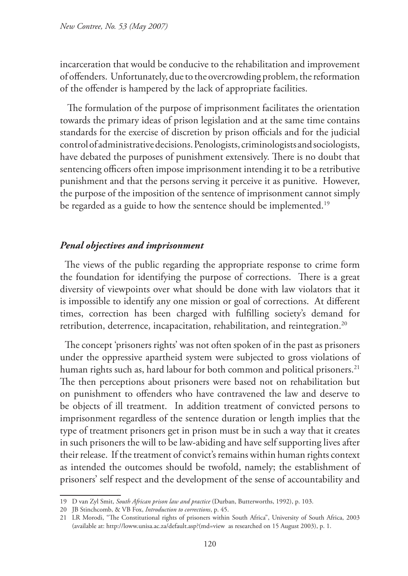incarceration that would be conducive to the rehabilitation and improvement of offenders. Unfortunately, due to the overcrowding problem, the reformation of the offender is hampered by the lack of appropriate facilities.

 The formulation of the purpose of imprisonment facilitates the orientation towards the primary ideas of prison legislation and at the same time contains standards for the exercise of discretion by prison officials and for the judicial control of administrative decisions. Penologists, criminologists and sociologists, have debated the purposes of punishment extensively. There is no doubt that sentencing officers often impose imprisonment intending it to be a retributive punishment and that the persons serving it perceive it as punitive. However, the purpose of the imposition of the sentence of imprisonment cannot simply be regarded as a guide to how the sentence should be implemented.<sup>19</sup>

### *Penal objectives and imprisonment*

The views of the public regarding the appropriate response to crime form the foundation for identifying the purpose of corrections. There is a great diversity of viewpoints over what should be done with law violators that it is impossible to identify any one mission or goal of corrections. At different times, correction has been charged with fulfilling society's demand for retribution, deterrence, incapacitation, rehabilitation, and reintegration.<sup>20</sup>

The concept 'prisoners rights' was not often spoken of in the past as prisoners under the oppressive apartheid system were subjected to gross violations of human rights such as, hard labour for both common and political prisoners.<sup>21</sup> The then perceptions about prisoners were based not on rehabilitation but on punishment to offenders who have contravened the law and deserve to be objects of ill treatment. In addition treatment of convicted persons to imprisonment regardless of the sentence duration or length implies that the type of treatment prisoners get in prison must be in such a way that it creates in such prisoners the will to be law-abiding and have self supporting lives after their release. If the treatment of convict's remains within human rights context as intended the outcomes should be twofold, namely; the establishment of prisoners' self respect and the development of the sense of accountability and

<sup>19</sup> D van Zyl Smit, *South African prison law and practice* (Durban, Butterworths, 1992), p. 103.

<sup>20</sup> JB Stinchcomb, & VB Fox, *Introduction to corrections*, p. 45.

<sup>21</sup> LR Morodi, "The Constitutional rights of prisoners within South Africa", University of South Africa, 2003 (available at: http://loww.unisa.ac.za/default.asp?(md=view as researched on 15 August 2003), p. 1.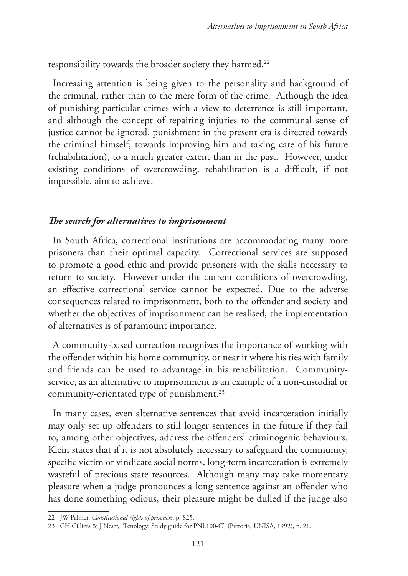responsibility towards the broader society they harmed.<sup>22</sup>

Increasing attention is being given to the personality and background of the criminal, rather than to the mere form of the crime. Although the idea of punishing particular crimes with a view to deterrence is still important, and although the concept of repairing injuries to the communal sense of justice cannot be ignored, punishment in the present era is directed towards the criminal himself; towards improving him and taking care of his future (rehabilitation), to a much greater extent than in the past. However, under existing conditions of overcrowding, rehabilitation is a difficult, if not impossible, aim to achieve.

### *The search for alternatives to imprisonment*

In South Africa, correctional institutions are accommodating many more prisoners than their optimal capacity. Correctional services are supposed to promote a good ethic and provide prisoners with the skills necessary to return to society. However under the current conditions of overcrowding, an effective correctional service cannot be expected. Due to the adverse consequences related to imprisonment, both to the offender and society and whether the objectives of imprisonment can be realised, the implementation of alternatives is of paramount importance.

A community-based correction recognizes the importance of working with the offender within his home community, or near it where his ties with family and friends can be used to advantage in his rehabilitation. Communityservice, as an alternative to imprisonment is an example of a non-custodial or community-orientated type of punishment.<sup>23</sup>

In many cases, even alternative sentences that avoid incarceration initially may only set up offenders to still longer sentences in the future if they fail to, among other objectives, address the offenders' criminogenic behaviours. Klein states that if it is not absolutely necessary to safeguard the community, specific victim or vindicate social norms, long-term incarceration is extremely wasteful of precious state resources. Although many may take momentary pleasure when a judge pronounces a long sentence against an offender who has done something odious, their pleasure might be dulled if the judge also

<sup>22</sup> JW Palmer, *Constitutional rights of prisoners*, p. 825.

<sup>23</sup> CH Cilliers & J Neser, "Penology: Study guide for PNL100-C" (Pretoria, UNISA, 1992), p. 21.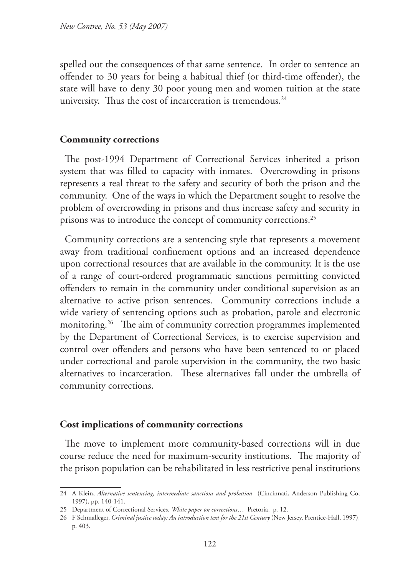spelled out the consequences of that same sentence. In order to sentence an offender to 30 years for being a habitual thief (or third-time offender), the state will have to deny 30 poor young men and women tuition at the state university. Thus the cost of incarceration is tremendous. $24$ 

### **Community corrections**

The post-1994 Department of Correctional Services inherited a prison system that was filled to capacity with inmates. Overcrowding in prisons represents a real threat to the safety and security of both the prison and the community. One of the ways in which the Department sought to resolve the problem of overcrowding in prisons and thus increase safety and security in prisons was to introduce the concept of community corrections.25

Community corrections are a sentencing style that represents a movement away from traditional confinement options and an increased dependence upon correctional resources that are available in the community. It is the use of a range of court-ordered programmatic sanctions permitting convicted offenders to remain in the community under conditional supervision as an alternative to active prison sentences. Community corrections include a wide variety of sentencing options such as probation, parole and electronic monitoring.<sup>26</sup> The aim of community correction programmes implemented by the Department of Correctional Services, is to exercise supervision and control over offenders and persons who have been sentenced to or placed under correctional and parole supervision in the community, the two basic alternatives to incarceration. These alternatives fall under the umbrella of community corrections.

### **Cost implications of community corrections**

The move to implement more community-based corrections will in due course reduce the need for maximum-security institutions. The majority of the prison population can be rehabilitated in less restrictive penal institutions

<sup>24</sup> A Klein, *Alternative sentencing, intermediate sanctions and probation* (Cincinnati, Anderson Publishing Co, 1997), pp. 140-141.

<sup>25</sup> Department of Correctional Services, *White paper on corrections*…, Pretoria, p. 12.

<sup>26</sup> F Schmalleger, *Criminal justice today: An introduction text for the 21st Century* (New Jersey, Prentice-Hall, 1997), p. 403.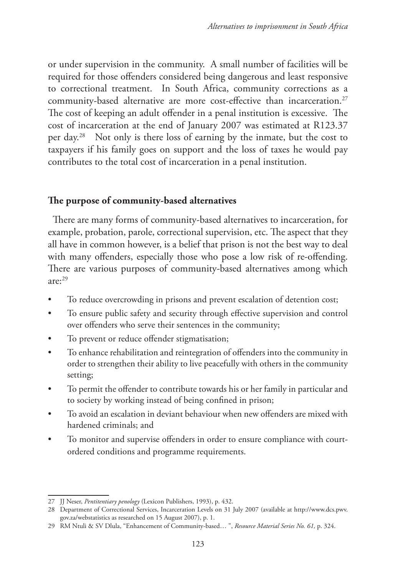or under supervision in the community. A small number of facilities will be required for those offenders considered being dangerous and least responsive to correctional treatment. In South Africa, community corrections as a community-based alternative are more cost-effective than incarceration.<sup>27</sup> The cost of keeping an adult offender in a penal institution is excessive. The cost of incarceration at the end of January 2007 was estimated at R123.37 per day.28 Not only is there loss of earning by the inmate, but the cost to taxpayers if his family goes on support and the loss of taxes he would pay contributes to the total cost of incarceration in a penal institution.

## **The purpose of community-based alternatives**

There are many forms of community-based alternatives to incarceration, for example, probation, parole, correctional supervision, etc. The aspect that they all have in common however, is a belief that prison is not the best way to deal with many offenders, especially those who pose a low risk of re-offending. There are various purposes of community-based alternatives among which  $are: <sup>29</sup>$ 

- To reduce overcrowding in prisons and prevent escalation of detention cost;
- To ensure public safety and security through effective supervision and control over offenders who serve their sentences in the community;
- To prevent or reduce offender stigmatisation;
- To enhance rehabilitation and reintegration of offenders into the community in order to strengthen their ability to live peacefully with others in the community setting;
- To permit the offender to contribute towards his or her family in particular and to society by working instead of being confined in prison;
- To avoid an escalation in deviant behaviour when new offenders are mixed with hardened criminals; and
- To monitor and supervise offenders in order to ensure compliance with courtordered conditions and programme requirements.

<sup>27</sup> JJ Neser, *Pentitentiary penology* (Lexicon Publishers, 1993), p. 432.

<sup>28</sup> Department of Correctional Services, Incarceration Levels on 31 July 2007 (available at http://www.dcs.pwv. gov.za/webstatistics as researched on 15 August 2007), p. 1.

<sup>29</sup> RM Ntuli & SV Dlula, "Enhancement of Community-based… ", *Resource Material Series No. 61,* p. 324.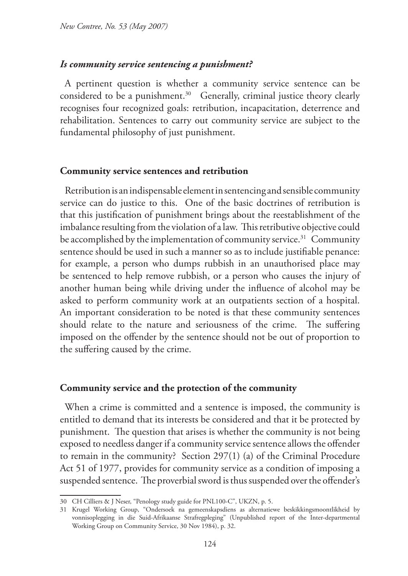### *Is community service sentencing a punishment?*

A pertinent question is whether a community service sentence can be considered to be a punishment.<sup>30</sup> Generally, criminal justice theory clearly recognises four recognized goals: retribution, incapacitation, deterrence and rehabilitation. Sentences to carry out community service are subject to the fundamental philosophy of just punishment.

### **Community service sentences and retribution**

Retribution is an indispensable element in sentencing and sensible community service can do justice to this. One of the basic doctrines of retribution is that this justification of punishment brings about the reestablishment of the imbalance resulting from the violation of a law. This retributive objective could be accomplished by the implementation of community service.<sup>31</sup> Community sentence should be used in such a manner so as to include justifiable penance: for example, a person who dumps rubbish in an unauthorised place may be sentenced to help remove rubbish, or a person who causes the injury of another human being while driving under the influence of alcohol may be asked to perform community work at an outpatients section of a hospital. An important consideration to be noted is that these community sentences should relate to the nature and seriousness of the crime. The suffering imposed on the offender by the sentence should not be out of proportion to the suffering caused by the crime.

### **Community service and the protection of the community**

When a crime is committed and a sentence is imposed, the community is entitled to demand that its interests be considered and that it be protected by punishment. The question that arises is whether the community is not being exposed to needless danger if a community service sentence allows the offender to remain in the community? Section 297(1) (a) of the Criminal Procedure Act 51 of 1977, provides for community service as a condition of imposing a suspended sentence. The proverbial sword is thus suspended over the offender's

<sup>30</sup> CH Cilliers & J Neser, "Penology study guide for PNL100-C", UKZN, p. 5.

<sup>31</sup> Krugel Working Group, "Ondersoek na gemeenskapsdiens as alternatiewe beskikkingsmoontlikheid by vonnisoplegging in die Suid-Afrikaanse Strafregpleging" (Unpublished report of the Inter-departmental Working Group on Community Service, 30 Nov 1984), p. 32.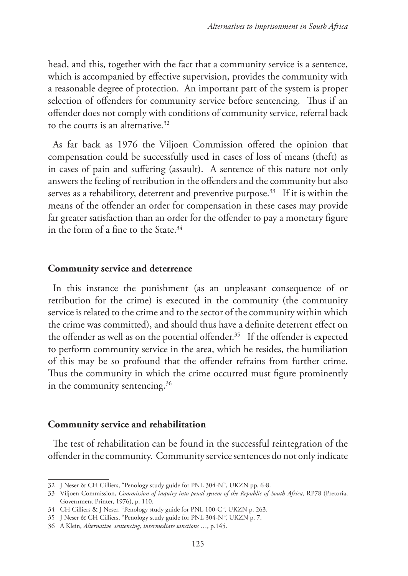head, and this, together with the fact that a community service is a sentence, which is accompanied by effective supervision, provides the community with a reasonable degree of protection. An important part of the system is proper selection of offenders for community service before sentencing. Thus if an offender does not comply with conditions of community service, referral back to the courts is an alternative.32

As far back as 1976 the Viljoen Commission offered the opinion that compensation could be successfully used in cases of loss of means (theft) as in cases of pain and suffering (assault). A sentence of this nature not only answers the feeling of retribution in the offenders and the community but also serves as a rehabilitory, deterrent and preventive purpose.<sup>33</sup> If it is within the means of the offender an order for compensation in these cases may provide far greater satisfaction than an order for the offender to pay a monetary figure in the form of a fine to the State. $34$ 

#### **Community service and deterrence**

In this instance the punishment (as an unpleasant consequence of or retribution for the crime) is executed in the community (the community service is related to the crime and to the sector of the community within which the crime was committed), and should thus have a definite deterrent effect on the offender as well as on the potential offender.<sup>35</sup> If the offender is expected to perform community service in the area, which he resides, the humiliation of this may be so profound that the offender refrains from further crime. Thus the community in which the crime occurred must figure prominently in the community sentencing.<sup>36</sup>

#### **Community service and rehabilitation**

The test of rehabilitation can be found in the successful reintegration of the offender in the community. Community service sentences do not only indicate

<sup>32</sup> J Neser & CH Cilliers, "Penology study guide for PNL 304-N", UKZN pp. 6-8.

<sup>33</sup> Viljoen Commission, *Commission of inquiry into penal system of the Republic of South Africa,* RP78 (Pretoria, Government Printer, 1976), p. 110.

<sup>34</sup> CH Cilliers & J Neser, "Penology study guide for PNL 100-C*",* UKZN p. 263.

<sup>35</sup> J Neser & CH Cilliers, "Penology study guide for PNL 304-N*"*, UKZN p. 7.

<sup>36</sup> A Klein, *Alternative sentencing, intermediate sanctions* …, p.145.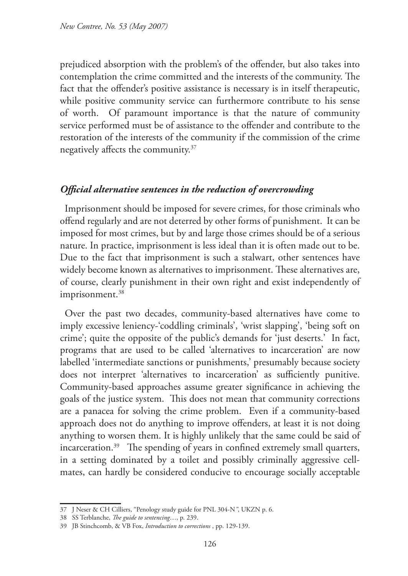prejudiced absorption with the problem's of the offender, but also takes into contemplation the crime committed and the interests of the community. The fact that the offender's positive assistance is necessary is in itself therapeutic, while positive community service can furthermore contribute to his sense of worth. Of paramount importance is that the nature of community service performed must be of assistance to the offender and contribute to the restoration of the interests of the community if the commission of the crime negatively affects the community.37

## *Official alternative sentences in the reduction of overcrowding*

Imprisonment should be imposed for severe crimes, for those criminals who offend regularly and are not deterred by other forms of punishment. It can be imposed for most crimes, but by and large those crimes should be of a serious nature. In practice, imprisonment is less ideal than it is often made out to be. Due to the fact that imprisonment is such a stalwart, other sentences have widely become known as alternatives to imprisonment. These alternatives are, of course, clearly punishment in their own right and exist independently of imprisonment.<sup>38</sup>

Over the past two decades, community-based alternatives have come to imply excessive leniency-'coddling criminals', 'wrist slapping', 'being soft on crime'; quite the opposite of the public's demands for 'just deserts.' In fact, programs that are used to be called 'alternatives to incarceration' are now labelled 'intermediate sanctions or punishments,' presumably because society does not interpret 'alternatives to incarceration' as sufficiently punitive. Community-based approaches assume greater significance in achieving the goals of the justice system. This does not mean that community corrections are a panacea for solving the crime problem. Even if a community-based approach does not do anything to improve offenders, at least it is not doing anything to worsen them. It is highly unlikely that the same could be said of incarceration.<sup>39</sup> The spending of years in confined extremely small quarters, in a setting dominated by a toilet and possibly criminally aggressive cellmates, can hardly be considered conducive to encourage socially acceptable

<sup>37</sup> J Neser & CH Cilliers, "Penology study guide for PNL 304-N*"*, UKZN p. 6.

<sup>38</sup> SS Terblanche, *The guide to sentencing*…, p. 239.

<sup>39</sup> JB Stinchcomb, & VB Fox, *Introduction to corrections* , pp. 129-139.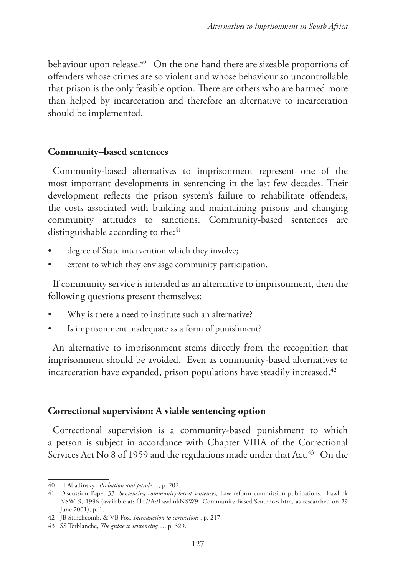behaviour upon release.<sup>40</sup> On the one hand there are sizeable proportions of offenders whose crimes are so violent and whose behaviour so uncontrollable that prison is the only feasible option. There are others who are harmed more than helped by incarceration and therefore an alternative to incarceration should be implemented.

### **Community–based sentences**

Community-based alternatives to imprisonment represent one of the most important developments in sentencing in the last few decades. Their development reflects the prison system's failure to rehabilitate offenders, the costs associated with building and maintaining prisons and changing community attitudes to sanctions. Community-based sentences are distinguishable according to the:<sup>41</sup>

- degree of State intervention which they involve;
- extent to which they envisage community participation.

If community service is intended as an alternative to imprisonment, then the following questions present themselves:

- Why is there a need to institute such an alternative?
- Is imprisonment inadequate as a form of punishment?

An alternative to imprisonment stems directly from the recognition that imprisonment should be avoided. Even as community-based alternatives to incarceration have expanded, prison populations have steadily increased.<sup>42</sup>

### **Correctional supervision: A viable sentencing option**

Correctional supervision is a community-based punishment to which a person is subject in accordance with Chapter VIIIA of the Correctional Services Act No 8 of 1959 and the regulations made under that Act.<sup>43</sup> On the

<sup>40</sup> H Abadinsky, *Probation and parole*…, p. 202.

<sup>41</sup> Discussion Paper 33, *Sentencing community-based sentences,* Law reform commission publications. Lawlink NSW. 9, 1996 (available at: file://A:/LawlinkNSW9- Community-Based.Sentences.htm, as researched on 29 June 2001), p. 1.

<sup>42</sup> JB Stinchcomb, & VB Fox, *Introduction to corrections* , p. 217.

<sup>43</sup> SS Terblanche, *The guide to sentencing*…, p. 329.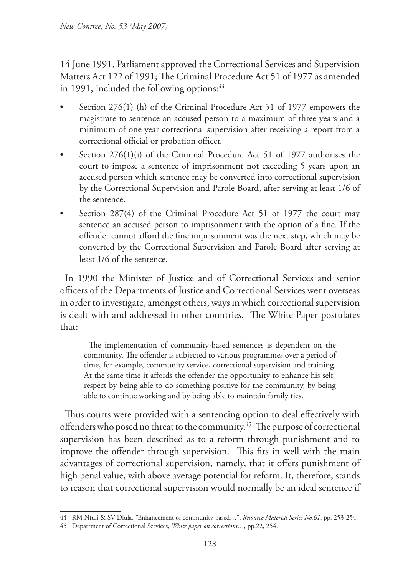14 June 1991, Parliament approved the Correctional Services and Supervision Matters Act 122 of 1991; The Criminal Procedure Act 51 of 1977 as amended in 1991, included the following options:<sup>44</sup>

- Section 276(1) (h) of the Criminal Procedure Act 51 of 1977 empowers the magistrate to sentence an accused person to a maximum of three years and a minimum of one year correctional supervision after receiving a report from a correctional official or probation officer.
- Section 276(1)(i) of the Criminal Procedure Act 51 of 1977 authorises the court to impose a sentence of imprisonment not exceeding 5 years upon an accused person which sentence may be converted into correctional supervision by the Correctional Supervision and Parole Board, after serving at least 1/6 of the sentence.
- Section 287(4) of the Criminal Procedure Act 51 of 1977 the court may sentence an accused person to imprisonment with the option of a fine. If the offender cannot afford the fine imprisonment was the next step, which may be converted by the Correctional Supervision and Parole Board after serving at least 1/6 of the sentence.

In 1990 the Minister of Justice and of Correctional Services and senior officers of the Departments of Justice and Correctional Services went overseas in order to investigate, amongst others, ways in which correctional supervision is dealt with and addressed in other countries. The White Paper postulates that:

The implementation of community-based sentences is dependent on the community. The offender is subjected to various programmes over a period of time, for example, community service, correctional supervision and training. At the same time it affords the offender the opportunity to enhance his selfrespect by being able to do something positive for the community, by being able to continue working and by being able to maintain family ties.

Thus courts were provided with a sentencing option to deal effectively with offenders who posed no threat to the community.<sup>45</sup> The purpose of correctional supervision has been described as to a reform through punishment and to improve the offender through supervision. This fits in well with the main advantages of correctional supervision, namely, that it offers punishment of high penal value, with above average potential for reform. It, therefore, stands to reason that correctional supervision would normally be an ideal sentence if

<sup>44</sup> RM Ntuli & SV Dlula, *"*Enhancement of community-based…", *Resource Material Series No.61*, pp. 253-254.

<sup>45</sup> Department of Correctional Services, *White paper on corrections*…, pp.22, 254.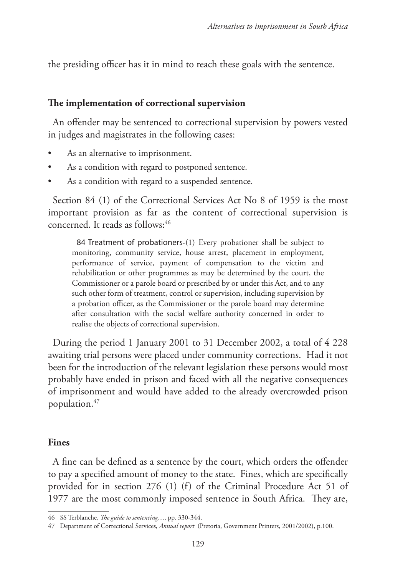the presiding officer has it in mind to reach these goals with the sentence.

### **The implementation of correctional supervision**

An offender may be sentenced to correctional supervision by powers vested in judges and magistrates in the following cases:

- As an alternative to imprisonment.
- As a condition with regard to postponed sentence.
- As a condition with regard to a suspended sentence.

Section 84 (1) of the Correctional Services Act No 8 of 1959 is the most important provision as far as the content of correctional supervision is concerned. It reads as follows:  $46$ 

84 Treatment of probationers-(1) Every probationer shall be subject to monitoring, community service, house arrest, placement in employment, performance of service, payment of compensation to the victim and rehabilitation or other programmes as may be determined by the court, the Commissioner or a parole board or prescribed by or under this Act, and to any such other form of treatment, control or supervision, including supervision by a probation officer, as the Commissioner or the parole board may determine after consultation with the social welfare authority concerned in order to realise the objects of correctional supervision.

During the period 1 January 2001 to 31 December 2002, a total of 4 228 awaiting trial persons were placed under community corrections. Had it not been for the introduction of the relevant legislation these persons would most probably have ended in prison and faced with all the negative consequences of imprisonment and would have added to the already overcrowded prison population.47

#### **Fines**

A fine can be defined as a sentence by the court, which orders the offender to pay a specified amount of money to the state. Fines, which are specifically provided for in section 276 (1) (f) of the Criminal Procedure Act 51 of 1977 are the most commonly imposed sentence in South Africa. They are,

<sup>46</sup> SS Terblanche, *The guide to sentencing*…, pp. 330-344.

<sup>47</sup> Department of Correctional Services, *Annual report* (Pretoria, Government Printers, 2001/2002), p.100.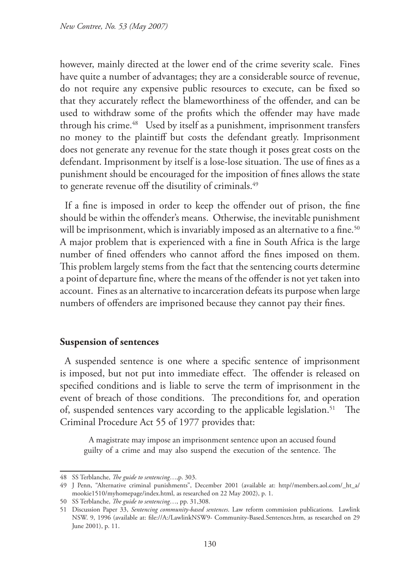however, mainly directed at the lower end of the crime severity scale. Fines have quite a number of advantages; they are a considerable source of revenue, do not require any expensive public resources to execute, can be fixed so that they accurately reflect the blameworthiness of the offender, and can be used to withdraw some of the profits which the offender may have made through his crime.<sup>48</sup> Used by itself as a punishment, imprisonment transfers no money to the plaintiff but costs the defendant greatly. Imprisonment does not generate any revenue for the state though it poses great costs on the defendant. Imprisonment by itself is a lose-lose situation. The use of fines as a punishment should be encouraged for the imposition of fines allows the state to generate revenue off the disutility of criminals.<sup>49</sup>

If a fine is imposed in order to keep the offender out of prison, the fine should be within the offender's means. Otherwise, the inevitable punishment will be imprisonment, which is invariably imposed as an alternative to a fine.<sup>50</sup> A major problem that is experienced with a fine in South Africa is the large number of fined offenders who cannot afford the fines imposed on them. This problem largely stems from the fact that the sentencing courts determine a point of departure fine, where the means of the offender is not yet taken into account. Fines as an alternative to incarceration defeats its purpose when large numbers of offenders are imprisoned because they cannot pay their fines.

### **Suspension of sentences**

A suspended sentence is one where a specific sentence of imprisonment is imposed, but not put into immediate effect. The offender is released on specified conditions and is liable to serve the term of imprisonment in the event of breach of those conditions. The preconditions for, and operation of, suspended sentences vary according to the applicable legislation.<sup>51</sup> The Criminal Procedure Act 55 of 1977 provides that:

A magistrate may impose an imprisonment sentence upon an accused found guilty of a crime and may also suspend the execution of the sentence. The

<sup>48</sup> SS Terblanche, *The guide to sentencing*…,p. 303.

<sup>49</sup> J Penn, "Alternative criminal punishments", December 2001 (available at: http//members.aol.com/\_ht\_a/ mookie1510/myhomepage/index.html, as researched on 22 May 2002), p. 1.

<sup>50</sup> SS Terblanche, *The guide to sentencing*…, pp. 31,308.

<sup>51</sup> Discussion Paper 33, *Sentencing community-based sentences*. Law reform commission publications. Lawlink NSW. 9, 1996 (available at: file://A:/LawlinkNSW9- Community-Based.Sentences.htm, as researched on 29 June 2001), p. 11.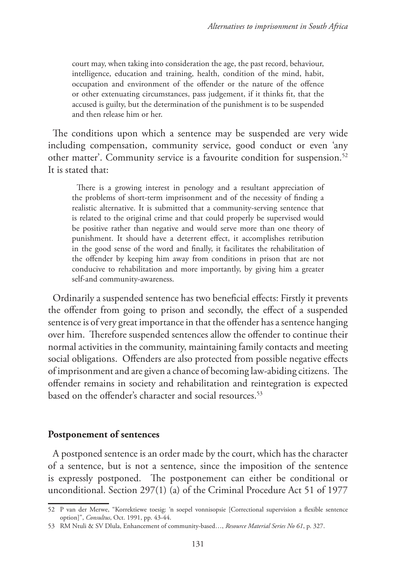court may, when taking into consideration the age, the past record, behaviour, intelligence, education and training, health, condition of the mind, habit, occupation and environment of the offender or the nature of the offence or other extenuating circumstances, pass judgement, if it thinks fit, that the accused is guilty, but the determination of the punishment is to be suspended and then release him or her.

The conditions upon which a sentence may be suspended are very wide including compensation, community service, good conduct or even 'any other matter'. Community service is a favourite condition for suspension.52 It is stated that:

There is a growing interest in penology and a resultant appreciation of the problems of short-term imprisonment and of the necessity of finding a realistic alternative. It is submitted that a community-serving sentence that is related to the original crime and that could properly be supervised would be positive rather than negative and would serve more than one theory of punishment. It should have a deterrent effect, it accomplishes retribution in the good sense of the word and finally, it facilitates the rehabilitation of the offender by keeping him away from conditions in prison that are not conducive to rehabilitation and more importantly, by giving him a greater self-and community-awareness.

Ordinarily a suspended sentence has two beneficial effects: Firstly it prevents the offender from going to prison and secondly, the effect of a suspended sentence is of very great importance in that the offender has a sentence hanging over him. Therefore suspended sentences allow the offender to continue their normal activities in the community, maintaining family contacts and meeting social obligations. Offenders are also protected from possible negative effects of imprisonment and are given a chance of becoming law-abiding citizens. The offender remains in society and rehabilitation and reintegration is expected based on the offender's character and social resources.<sup>53</sup>

#### **Postponement of sentences**

A postponed sentence is an order made by the court, which has the character of a sentence, but is not a sentence, since the imposition of the sentence is expressly postponed. The postponement can either be conditional or unconditional. Section 297(1) (a) of the Criminal Procedure Act 51 of 1977

<sup>52</sup> P van der Merwe, "Korrektiewe toesig: 'n soepel vonnisopsie [Correctional supervision a flexible sentence option]", *Consultus*, Oct. 1991, pp. 43-44.

<sup>53</sup> RM Ntuli & SV Dlula, Enhancement of community-based…, *Resource Material Series No 61*, p. 327.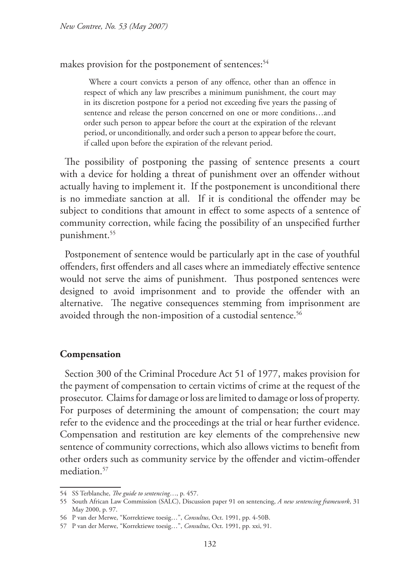makes provision for the postponement of sentences:<sup>54</sup>

Where a court convicts a person of any offence, other than an offence in respect of which any law prescribes a minimum punishment, the court may in its discretion postpone for a period not exceeding five years the passing of sentence and release the person concerned on one or more conditions…and order such person to appear before the court at the expiration of the relevant period, or unconditionally, and order such a person to appear before the court, if called upon before the expiration of the relevant period.

The possibility of postponing the passing of sentence presents a court with a device for holding a threat of punishment over an offender without actually having to implement it. If the postponement is unconditional there is no immediate sanction at all. If it is conditional the offender may be subject to conditions that amount in effect to some aspects of a sentence of community correction, while facing the possibility of an unspecified further punishment.55

Postponement of sentence would be particularly apt in the case of youthful offenders, first offenders and all cases where an immediately effective sentence would not serve the aims of punishment. Thus postponed sentences were designed to avoid imprisonment and to provide the offender with an alternative. The negative consequences stemming from imprisonment are avoided through the non-imposition of a custodial sentence.<sup>56</sup>

### **Compensation**

Section 300 of the Criminal Procedure Act 51 of 1977, makes provision for the payment of compensation to certain victims of crime at the request of the prosecutor. Claims for damage or loss are limited to damage or loss of property. For purposes of determining the amount of compensation; the court may refer to the evidence and the proceedings at the trial or hear further evidence. Compensation and restitution are key elements of the comprehensive new sentence of community corrections, which also allows victims to benefit from other orders such as community service by the offender and victim-offender mediation.<sup>57</sup>

<sup>54</sup> SS Terblanche, *The guide to sentencing*…, p. 457.

<sup>55</sup> South African Law Commission (SALC), Discussion paper 91 on sentencing, *A new sentencing framework*, 31 May 2000, p. 97.

<sup>56</sup> P van der Merwe, "Korrektiewe toesig…", *Consultus*, Oct. 1991, pp. 4-50B.

<sup>57</sup> P van der Merwe, "Korrektiewe toesig…", *Consultus*, Oct. 1991, pp. xxi, 91.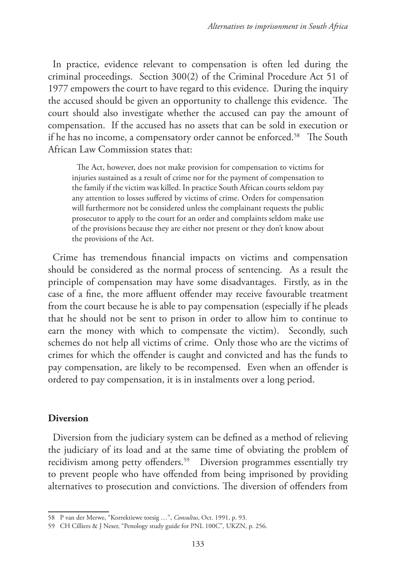In practice, evidence relevant to compensation is often led during the criminal proceedings. Section 300(2) of the Criminal Procedure Act 51 of 1977 empowers the court to have regard to this evidence. During the inquiry the accused should be given an opportunity to challenge this evidence. The court should also investigate whether the accused can pay the amount of compensation. If the accused has no assets that can be sold in execution or if he has no income, a compensatory order cannot be enforced.<sup>58</sup> The South African Law Commission states that:

The Act, however, does not make provision for compensation to victims for injuries sustained as a result of crime nor for the payment of compensation to the family if the victim was killed. In practice South African courts seldom pay any attention to losses suffered by victims of crime. Orders for compensation will furthermore not be considered unless the complainant requests the public prosecutor to apply to the court for an order and complaints seldom make use of the provisions because they are either not present or they don't know about the provisions of the Act.

Crime has tremendous financial impacts on victims and compensation should be considered as the normal process of sentencing. As a result the principle of compensation may have some disadvantages. Firstly, as in the case of a fine, the more affluent offender may receive favourable treatment from the court because he is able to pay compensation (especially if he pleads that he should not be sent to prison in order to allow him to continue to earn the money with which to compensate the victim). Secondly, such schemes do not help all victims of crime. Only those who are the victims of crimes for which the offender is caught and convicted and has the funds to pay compensation, are likely to be recompensed. Even when an offender is ordered to pay compensation, it is in instalments over a long period.

### **Diversion**

Diversion from the judiciary system can be defined as a method of relieving the judiciary of its load and at the same time of obviating the problem of recidivism among petty offenders.<sup>59</sup> Diversion programmes essentially try to prevent people who have offended from being imprisoned by providing alternatives to prosecution and convictions. The diversion of offenders from

<sup>58</sup> P van der Merwe, "Korrektiewe toesig …", *Consultus*, Oct. 1991, p. 93.

<sup>59</sup> CH Cilliers & J Neser, "Penology study guide for PNL 100C"*,* UKZN, p. 256.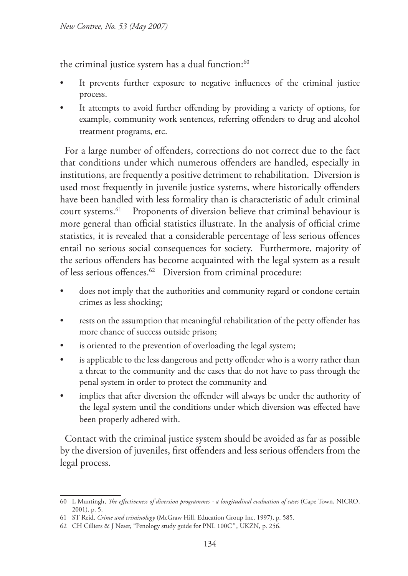the criminal justice system has a dual function:<sup>60</sup>

- It prevents further exposure to negative influences of the criminal justice process.
- It attempts to avoid further offending by providing a variety of options, for example, community work sentences, referring offenders to drug and alcohol treatment programs, etc.

For a large number of offenders, corrections do not correct due to the fact that conditions under which numerous offenders are handled, especially in institutions, are frequently a positive detriment to rehabilitation. Diversion is used most frequently in juvenile justice systems, where historically offenders have been handled with less formality than is characteristic of adult criminal court systems.61 Proponents of diversion believe that criminal behaviour is more general than official statistics illustrate. In the analysis of official crime statistics, it is revealed that a considerable percentage of less serious offences entail no serious social consequences for society. Furthermore, majority of the serious offenders has become acquainted with the legal system as a result of less serious offences.<sup>62</sup> Diversion from criminal procedure:

- does not imply that the authorities and community regard or condone certain crimes as less shocking;
- rests on the assumption that meaningful rehabilitation of the petty offender has more chance of success outside prison;
- is oriented to the prevention of overloading the legal system;
- is applicable to the less dangerous and petty offender who is a worry rather than a threat to the community and the cases that do not have to pass through the penal system in order to protect the community and
- implies that after diversion the offender will always be under the authority of the legal system until the conditions under which diversion was effected have been properly adhered with.

Contact with the criminal justice system should be avoided as far as possible by the diversion of juveniles, first offenders and less serious offenders from the legal process.

<sup>60</sup> L Muntingh, *The effectiveness of diversion programmes - a longitudinal evaluation of cases* (Cape Town, NICRO, 2001), p. 5.

<sup>61</sup> ST Reid, *Crime and criminology* (McGraw Hill, Education Group Inc, 1997), p. 585.

<sup>62</sup> CH Cilliers & J Neser, "Penology study guide for PNL 100C*"* , UKZN, p. 256.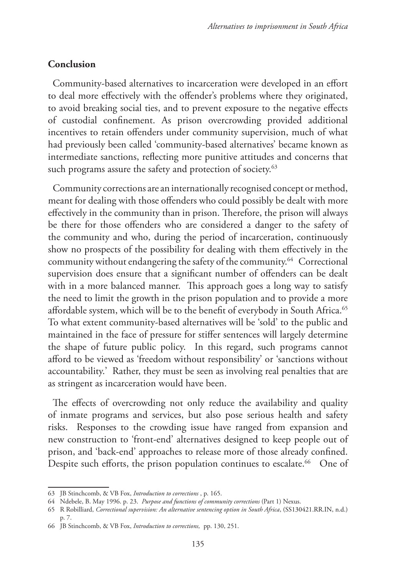### **Conclusion**

Community-based alternatives to incarceration were developed in an effort to deal more effectively with the offender's problems where they originated, to avoid breaking social ties, and to prevent exposure to the negative effects of custodial confinement. As prison overcrowding provided additional incentives to retain offenders under community supervision, much of what had previously been called 'community-based alternatives' became known as intermediate sanctions, reflecting more punitive attitudes and concerns that such programs assure the safety and protection of society.<sup>63</sup>

Community corrections are an internationally recognised concept or method, meant for dealing with those offenders who could possibly be dealt with more effectively in the community than in prison. Therefore, the prison will always be there for those offenders who are considered a danger to the safety of the community and who, during the period of incarceration, continuously show no prospects of the possibility for dealing with them effectively in the community without endangering the safety of the community.64 Correctional supervision does ensure that a significant number of offenders can be dealt with in a more balanced manner. This approach goes a long way to satisfy the need to limit the growth in the prison population and to provide a more affordable system, which will be to the benefit of everybody in South Africa.<sup>65</sup> To what extent community-based alternatives will be 'sold' to the public and maintained in the face of pressure for stiffer sentences will largely determine the shape of future public policy. In this regard, such programs cannot afford to be viewed as 'freedom without responsibility' or 'sanctions without accountability.' Rather, they must be seen as involving real penalties that are as stringent as incarceration would have been.

The effects of overcrowding not only reduce the availability and quality of inmate programs and services, but also pose serious health and safety risks. Responses to the crowding issue have ranged from expansion and new construction to 'front-end' alternatives designed to keep people out of prison, and 'back-end' approaches to release more of those already confined. Despite such efforts, the prison population continues to escalate.<sup>66</sup> One of

<sup>63</sup> JB Stinchcomb, & VB Fox, *Introduction to corrections* , p. 165.

<sup>64</sup> Ndebele, B. May 1996. p. 23. *Purpose and functions of community corrections* (Part 1) Nexus.

<sup>65</sup> R Robilliard, *Correctional supervision: An alternative sentencing option in South Africa*, (SS130421.RR.IN, n.d.) p. 7.

<sup>66</sup> JB Stinchcomb, & VB Fox, *Introduction to corrections,* pp. 130, 251.